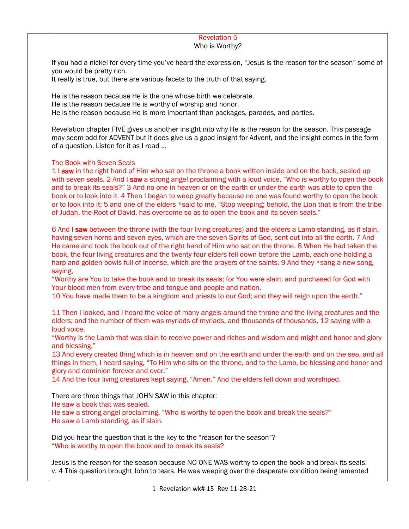## Revelation 5

## Who is Worthy?

If you had a nickel for every time you've heard the expression, "Jesus is the reason for the season" some of you would be pretty rich.

It really is true, but there are various facets to the truth of that saying.

He is the reason because He is the one whose birth we celebrate. He is the reason because He is worthy of worship and honor. He is the reason because He is more important than packages, parades, and parties.

Revelation chapter FIVE gives us another insight into why He is the reason for the season. This passage may seem odd for ADVENT but it does give us a good insight for Advent, and the insight comes in the form of a question. Listen for it as I read …

The Book with Seven Seals

1 I saw in the right hand of Him who sat on the throne a book written inside and on the back, sealed up with seven seals. 2 And I saw a strong angel proclaiming with a loud voice, "Who is worthy to open the book and to break its seals?" 3 And no one in heaven or on the earth or under the earth was able to open the book or to look into it. 4 Then I began to weep greatly because no one was found worthy to open the book or to look into it; 5 and one of the elders \*said to me, "Stop weeping; behold, the Lion that is from the tribe of Judah, the Root of David, has overcome so as to open the book and its seven seals."

6 And I saw between the throne (with the four living creatures) and the elders a Lamb standing, as if slain, having seven horns and seven eyes, which are the seven Spirits of God, sent out into all the earth. 7 And He came and took the book out of the right hand of Him who sat on the throne. 8 When He had taken the book, the four living creatures and the twenty-four elders fell down before the Lamb, each one holding a harp and golden bowls full of incense, which are the prayers of the saints. 9 And they \*sang a new song, saying,

"Worthy are You to take the book and to break its seals; for You were slain, and purchased for God with Your blood men from every tribe and tongue and people and nation.

10 You have made them to be a kingdom and priests to our God; and they will reign upon the earth."

11 Then I looked, and I heard the voice of many angels around the throne and the living creatures and the elders; and the number of them was myriads of myriads, and thousands of thousands, 12 saying with a loud voice,

"Worthy is the Lamb that was slain to receive power and riches and wisdom and might and honor and glory and blessing."

13 And every created thing which is in heaven and on the earth and under the earth and on the sea, and all things in them, I heard saying, "To Him who sits on the throne, and to the Lamb, be blessing and honor and glory and dominion forever and ever."

14 And the four living creatures kept saying, "Amen." And the elders fell down and worshiped.

There are three things that JOHN SAW in this chapter:

He saw a book that was sealed.

He saw a strong angel proclaiming, "Who is worthy to open the book and break the seals?" He saw a Lamb standing, as if slain.

Did you hear the question that is the key to the "reason for the season"? "Who is worthy to open the book and to break its seals?

Jesus is the reason for the season because NO ONE WAS worthy to open the book and break its seals. v. 4 This question brought John to tears. He was weeping over the desperate condition being lamented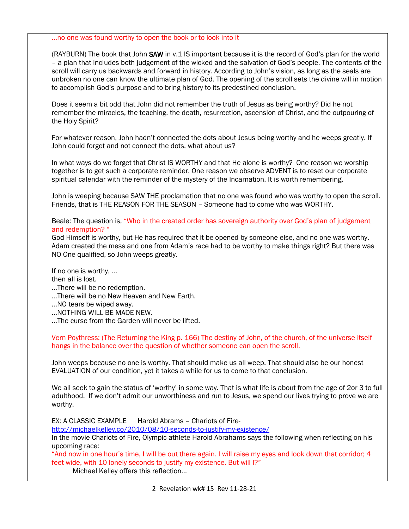…no one was found worthy to open the book or to look into it

(RAYBURN) The book that John SAW in v.1 IS important because it is the record of God's plan for the world – a plan that includes both judgement of the wicked and the salvation of God's people. The contents of the scroll will carry us backwards and forward in history. According to John's vision, as long as the seals are unbroken no one can know the ultimate plan of God. The opening of the scroll sets the divine will in motion to accomplish God's purpose and to bring history to its predestined conclusion.

Does it seem a bit odd that John did not remember the truth of Jesus as being worthy? Did he not remember the miracles, the teaching, the death, resurrection, ascension of Christ, and the outpouring of the Holy Spirit?

For whatever reason, John hadn't connected the dots about Jesus being worthy and he weeps greatly. If John could forget and not connect the dots, what about us?

In what ways do we forget that Christ IS WORTHY and that He alone is worthy? One reason we worship together is to get such a corporate reminder. One reason we observe ADVENT is to reset our corporate spiritual calendar with the reminder of the mystery of the Incarnation. It is worth remembering.

John is weeping because SAW THE proclamation that no one was found who was worthy to open the scroll. Friends, that is THE REASON FOR THE SEASON – Someone had to come who was WORTHY.

Beale: The question is, "Who in the created order has sovereign authority over God's plan of judgement and redemption? "

God Himself is worthy, but He has required that it be opened by someone else, and no one was worthy. Adam created the mess and one from Adam's race had to be worthy to make things right? But there was NO One qualified, so John weeps greatly.

If no one is worthy, …

then all is lost.

- …There will be no redemption.
- …There will be no New Heaven and New Earth.
- …NO tears be wiped away.
- …NOTHING WILL BE MADE NEW.
- …The curse from the Garden will never be lifted.

Vern Poythress: (The Returning the King p. 166) The destiny of John, of the church, of the universe itself hangs in the balance over the question of whether someone can open the scroll.

John weeps because no one is worthy. That should make us all weep. That should also be our honest EVALUATION of our condition, yet it takes a while for us to come to that conclusion.

We all seek to gain the status of 'worthy' in some way. That is what life is about from the age of 2or 3 to full adulthood. If we don't admit our unworthiness and run to Jesus, we spend our lives trying to prove we are worthy.

EX: A CLASSIC EXAMPLE Harold Abrams – Chariots of Fire-

<http://michaelkelley.co/2010/08/10-seconds-to-justify-my-existence/>

In the movie Chariots of Fire, Olympic athlete Harold Abrahams says the following when reflecting on his upcoming race:

"And now in one hour's time, I will be out there again. I will raise my eyes and look down that corridor; 4 feet wide, with 10 lonely seconds to justify my existence. But will I?" Michael Kelley offers this reflection…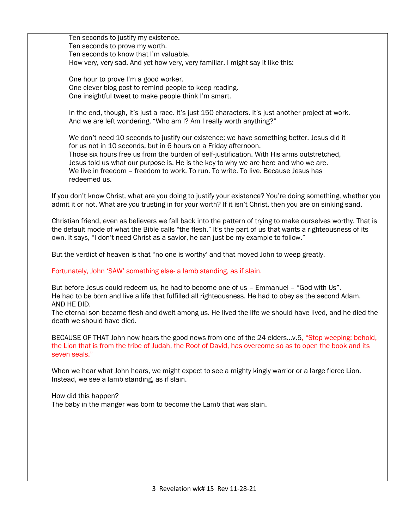Ten seconds to justify my existence. Ten seconds to prove my worth. Ten seconds to know that I'm valuable. How very, very sad. And yet how very, very familiar. I might say it like this: One hour to prove I'm a good worker. One clever blog post to remind people to keep reading. One insightful tweet to make people think I'm smart. In the end, though, it's just a race. It's just 150 characters. It's just another project at work. And we are left wondering, "Who am I? Am I really worth anything?" We don't need 10 seconds to justify our existence; we have something better. Jesus did it for us not in 10 seconds, but in 6 hours on a Friday afternoon. Those six hours free us from the burden of self-justification. With His arms outstretched, Jesus told us what our purpose is. He is the key to why we are here and who we are. We live in freedom – freedom to work. To run. To write. To live. Because Jesus has redeemed us. If you don't know Christ, what are you doing to justify your existence? You're doing something, whether you admit it or not. What are you trusting in for your worth? If it isn't Christ, then you are on sinking sand. Christian friend, even as believers we fall back into the pattern of trying to make ourselves worthy. That is the default mode of what the Bible calls "the flesh." It's the part of us that wants a righteousness of its own. It says, "I don't need Christ as a savior, he can just be my example to follow." But the verdict of heaven is that "no one is worthy' and that moved John to weep greatly. Fortunately, John 'SAW' something else- a lamb standing, as if slain. But before Jesus could redeem us, he had to become one of us – Emmanuel – "God with Us". He had to be born and live a life that fulfilled all righteousness. He had to obey as the second Adam. AND HE DID. The eternal son became flesh and dwelt among us. He lived the life we should have lived, and he died the death we should have died. BECAUSE OF THAT John now hears the good news from one of the 24 elders…v.5, "Stop weeping; behold, the Lion that is from the tribe of Judah, the Root of David, has overcome so as to open the book and its seven seals." When we hear what John hears, we might expect to see a mighty kingly warrior or a large fierce Lion. Instead, we see a lamb standing, as if slain. How did this happen? The baby in the manger was born to become the Lamb that was slain.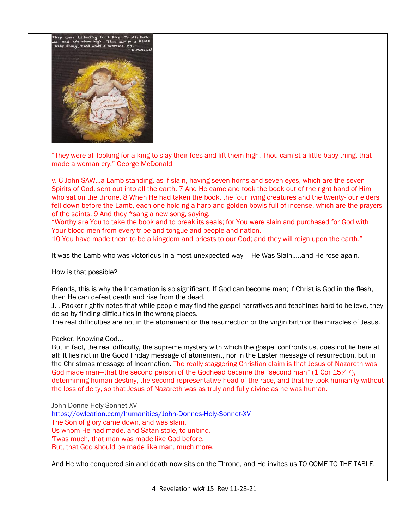

"They were all looking for a king to slay their foes and lift them high. Thou cam'st a little baby thing, that made a woman cry." George McDonald

v. 6 John SAW…a Lamb standing, as if slain, having seven horns and seven eyes, which are the seven Spirits of God, sent out into all the earth. 7 And He came and took the book out of the right hand of Him who sat on the throne. 8 When He had taken the book, the four living creatures and the twenty-four elders fell down before the Lamb, each one holding a harp and golden bowls full of incense, which are the prayers of the saints. 9 And they \*sang a new song, saying,

"Worthy are You to take the book and to break its seals; for You were slain and purchased for God with Your blood men from every tribe and tongue and people and nation.

10 You have made them to be a kingdom and priests to our God; and they will reign upon the earth."

It was the Lamb who was victorious in a most unexpected way – He Was Slain…..and He rose again.

How is that possible?

Friends, this is why the Incarnation is so significant. If God can become man; if Christ is God in the flesh, then He can defeat death and rise from the dead.

J.I. Packer rightly notes that while people may find the gospel narratives and teachings hard to believe, they do so by finding difficulties in the wrong places.

The real difficulties are not in the atonement or the resurrection or the virgin birth or the miracles of Jesus.

Packer, Knowing God…

But in fact, the real difficulty, the supreme mystery with which the gospel confronts us, does not lie here at all: It lies not in the Good Friday message of atonement, nor in the Easter message of resurrection, but in the Christmas message of Incarnation. The really staggering Christian claim is that Jesus of Nazareth was God made man—that the second person of the Godhead became the "second man" (1 Cor 15:47), determining human destiny, the second representative head of the race, and that he took humanity without the loss of deity, so that Jesus of Nazareth was as truly and fully divine as he was human.

John Donne Holy Sonnet XV

<https://owlcation.com/humanities/John-Donnes-Holy-Sonnet-XV> The Son of glory came down, and was slain, Us whom He had made, and Satan stole, to unbind. 'Twas much, that man was made like God before, But, that God should be made like man, much more.

And He who conquered sin and death now sits on the Throne, and He invites us TO COME TO THE TABLE.